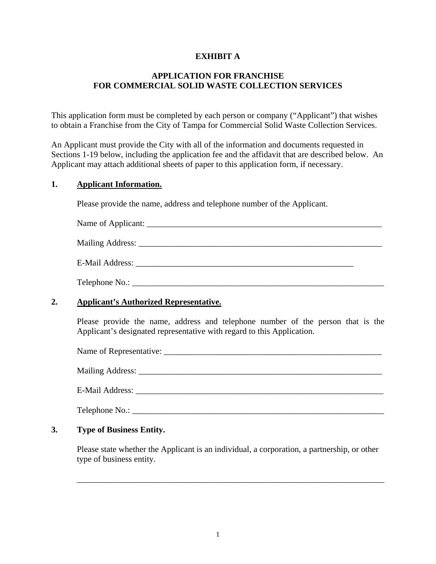### **EXHIBIT A**

### **APPLICATION FOR FRANCHISE FOR COMMERCIAL SOLID WASTE COLLECTION SERVICES**

This application form must be completed by each person or company ("Applicant") that wishes to obtain a Franchise from the City of Tampa for Commercial Solid Waste Collection Services.

An Applicant must provide the City with all of the information and documents requested in Sections 1-19 below, including the application fee and the affidavit that are described below. An Applicant may attach additional sheets of paper to this application form, if necessary.

### **1. Applicant Information.**

Please provide the name, address and telephone number of the Applicant.

| $\sim$ $\sim$<br>минн<br>,110a116.<br>. . |  |
|-------------------------------------------|--|
| . .                                       |  |

Mailing Address: \_\_\_\_\_\_\_\_\_\_\_\_\_\_\_\_\_\_\_\_\_\_\_\_\_\_\_\_\_\_\_\_\_\_\_\_\_\_\_\_\_\_\_\_\_\_\_\_\_\_\_\_\_\_\_\_\_

Telephone No.: \_\_\_\_\_\_\_\_\_\_\_\_\_\_\_\_\_\_\_\_\_\_\_\_\_\_\_\_\_\_\_\_\_\_\_\_\_\_\_\_\_\_\_\_\_\_\_\_\_\_\_\_\_\_\_\_\_\_\_

### **2. Applicant's Authorized Representative.**

Please provide the name, address and telephone number of the person that is the Applicant's designated representative with regard to this Application.

Name of Representative: \_\_\_\_\_\_\_\_\_\_\_\_\_\_\_\_\_\_\_\_\_\_\_\_\_\_\_\_\_\_\_\_\_\_\_\_\_\_\_\_\_\_\_\_\_\_\_\_\_\_\_

Mailing Address: \_\_\_\_\_\_\_\_\_\_\_\_\_\_\_\_\_\_\_\_\_\_\_\_\_\_\_\_\_\_\_\_\_\_\_\_\_\_\_\_\_\_\_\_\_\_\_\_\_\_\_\_\_\_\_\_\_

E-Mail Address:

Telephone No.:

### **3. Type of Business Entity.**

Please state whether the Applicant is an individual, a corporation, a partnership, or other type of business entity.

\_\_\_\_\_\_\_\_\_\_\_\_\_\_\_\_\_\_\_\_\_\_\_\_\_\_\_\_\_\_\_\_\_\_\_\_\_\_\_\_\_\_\_\_\_\_\_\_\_\_\_\_\_\_\_\_\_\_\_\_\_\_\_\_\_\_\_\_\_\_\_\_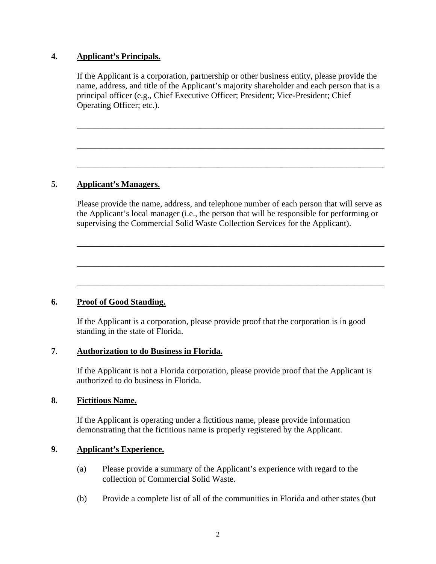### **4. Applicant's Principals.**

If the Applicant is a corporation, partnership or other business entity, please provide the name, address, and title of the Applicant's majority shareholder and each person that is a principal officer (e.g., Chief Executive Officer; President; Vice-President; Chief Operating Officer; etc.).

\_\_\_\_\_\_\_\_\_\_\_\_\_\_\_\_\_\_\_\_\_\_\_\_\_\_\_\_\_\_\_\_\_\_\_\_\_\_\_\_\_\_\_\_\_\_\_\_\_\_\_\_\_\_\_\_\_\_\_\_\_\_\_\_\_\_\_\_\_\_\_\_

\_\_\_\_\_\_\_\_\_\_\_\_\_\_\_\_\_\_\_\_\_\_\_\_\_\_\_\_\_\_\_\_\_\_\_\_\_\_\_\_\_\_\_\_\_\_\_\_\_\_\_\_\_\_\_\_\_\_\_\_\_\_\_\_\_\_\_\_\_\_\_\_

\_\_\_\_\_\_\_\_\_\_\_\_\_\_\_\_\_\_\_\_\_\_\_\_\_\_\_\_\_\_\_\_\_\_\_\_\_\_\_\_\_\_\_\_\_\_\_\_\_\_\_\_\_\_\_\_\_\_\_\_\_\_\_\_\_\_\_\_\_\_\_\_

### **5. Applicant's Managers.**

Please provide the name, address, and telephone number of each person that will serve as the Applicant's local manager (i.e., the person that will be responsible for performing or supervising the Commercial Solid Waste Collection Services for the Applicant).

\_\_\_\_\_\_\_\_\_\_\_\_\_\_\_\_\_\_\_\_\_\_\_\_\_\_\_\_\_\_\_\_\_\_\_\_\_\_\_\_\_\_\_\_\_\_\_\_\_\_\_\_\_\_\_\_\_\_\_\_\_\_\_\_\_\_\_\_\_\_\_\_

\_\_\_\_\_\_\_\_\_\_\_\_\_\_\_\_\_\_\_\_\_\_\_\_\_\_\_\_\_\_\_\_\_\_\_\_\_\_\_\_\_\_\_\_\_\_\_\_\_\_\_\_\_\_\_\_\_\_\_\_\_\_\_\_\_\_\_\_\_\_\_\_

\_\_\_\_\_\_\_\_\_\_\_\_\_\_\_\_\_\_\_\_\_\_\_\_\_\_\_\_\_\_\_\_\_\_\_\_\_\_\_\_\_\_\_\_\_\_\_\_\_\_\_\_\_\_\_\_\_\_\_\_\_\_\_\_\_\_\_\_\_\_\_\_

## **6. Proof of Good Standing.**

If the Applicant is a corporation, please provide proof that the corporation is in good standing in the state of Florida.

### **7**. **Authorization to do Business in Florida.**

If the Applicant is not a Florida corporation, please provide proof that the Applicant is authorized to do business in Florida.

#### **8. Fictitious Name.**

If the Applicant is operating under a fictitious name, please provide information demonstrating that the fictitious name is properly registered by the Applicant.

### **9. Applicant's Experience.**

- (a) Please provide a summary of the Applicant's experience with regard to the collection of Commercial Solid Waste.
- (b) Provide a complete list of all of the communities in Florida and other states (but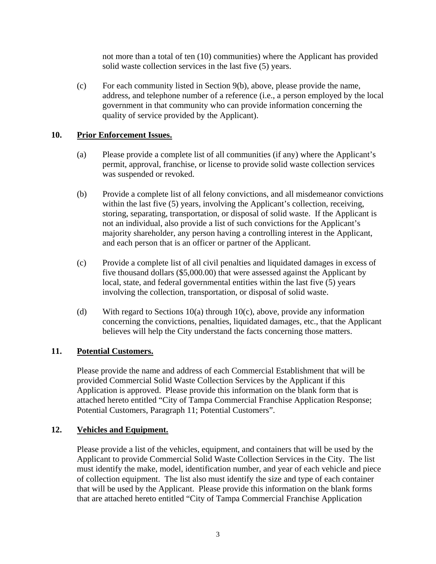not more than a total of ten (10) communities) where the Applicant has provided solid waste collection services in the last five (5) years.

(c) For each community listed in Section 9(b), above, please provide the name, address, and telephone number of a reference (i.e., a person employed by the local government in that community who can provide information concerning the quality of service provided by the Applicant).

# **10. Prior Enforcement Issues.**

- (a) Please provide a complete list of all communities (if any) where the Applicant's permit, approval, franchise, or license to provide solid waste collection services was suspended or revoked.
- (b) Provide a complete list of all felony convictions, and all misdemeanor convictions within the last five (5) years, involving the Applicant's collection, receiving, storing, separating, transportation, or disposal of solid waste. If the Applicant is not an individual, also provide a list of such convictions for the Applicant's majority shareholder, any person having a controlling interest in the Applicant, and each person that is an officer or partner of the Applicant.
- (c) Provide a complete list of all civil penalties and liquidated damages in excess of five thousand dollars (\$5,000.00) that were assessed against the Applicant by local, state, and federal governmental entities within the last five (5) years involving the collection, transportation, or disposal of solid waste.
- (d) With regard to Sections 10(a) through 10(c), above, provide any information concerning the convictions, penalties, liquidated damages, etc., that the Applicant believes will help the City understand the facts concerning those matters.

## **11. Potential Customers.**

Please provide the name and address of each Commercial Establishment that will be provided Commercial Solid Waste Collection Services by the Applicant if this Application is approved. Please provide this information on the blank form that is attached hereto entitled "City of Tampa Commercial Franchise Application Response; Potential Customers, Paragraph 11; Potential Customers".

### **12. Vehicles and Equipment.**

Please provide a list of the vehicles, equipment, and containers that will be used by the Applicant to provide Commercial Solid Waste Collection Services in the City. The list must identify the make, model, identification number, and year of each vehicle and piece of collection equipment. The list also must identify the size and type of each container that will be used by the Applicant. Please provide this information on the blank forms that are attached hereto entitled "City of Tampa Commercial Franchise Application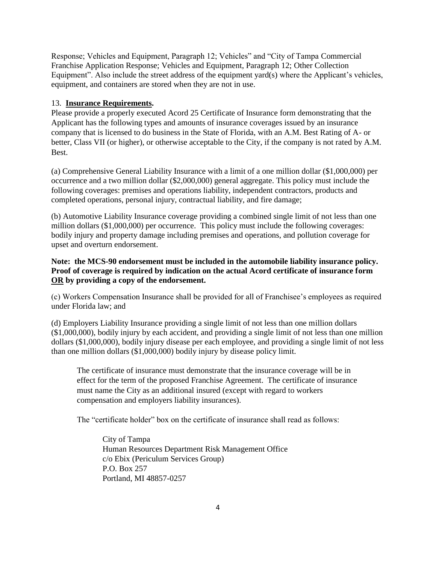Response; Vehicles and Equipment, Paragraph 12; Vehicles" and "City of Tampa Commercial Franchise Application Response; Vehicles and Equipment, Paragraph 12; Other Collection Equipment". Also include the street address of the equipment yard(s) where the Applicant's vehicles, equipment, and containers are stored when they are not in use.

#### 13. **Insurance Requirements.**

Please provide a properly executed Acord 25 Certificate of Insurance form demonstrating that the Applicant has the following types and amounts of insurance coverages issued by an insurance company that is licensed to do business in the State of Florida, with an A.M. Best Rating of A- or better, Class VII (or higher), or otherwise acceptable to the City, if the company is not rated by A.M. Best.

(a) Comprehensive General Liability Insurance with a limit of a one million dollar (\$1,000,000) per occurrence and a two million dollar (\$2,000,000) general aggregate. This policy must include the following coverages: premises and operations liability, independent contractors, products and completed operations, personal injury, contractual liability, and fire damage;

(b) Automotive Liability Insurance coverage providing a combined single limit of not less than one million dollars (\$1,000,000) per occurrence. This policy must include the following coverages: bodily injury and property damage including premises and operations, and pollution coverage for upset and overturn endorsement.

### **Note: the MCS-90 endorsement must be included in the automobile liability insurance policy. Proof of coverage is required by indication on the actual Acord certificate of insurance form OR by providing a copy of the endorsement.**

(c) Workers Compensation Insurance shall be provided for all of Franchisee's employees as required under Florida law; and

(d) Employers Liability Insurance providing a single limit of not less than one million dollars (\$1,000,000), bodily injury by each accident, and providing a single limit of not less than one million dollars (\$1,000,000), bodily injury disease per each employee, and providing a single limit of not less than one million dollars (\$1,000,000) bodily injury by disease policy limit.

The certificate of insurance must demonstrate that the insurance coverage will be in effect for the term of the proposed Franchise Agreement. The certificate of insurance must name the City as an additional insured (except with regard to workers compensation and employers liability insurances).

The "certificate holder" box on the certificate of insurance shall read as follows:

City of Tampa Human Resources Department Risk Management Office c/o Ebix (Periculum Services Group) P.O. Box 257 Portland, MI 48857-0257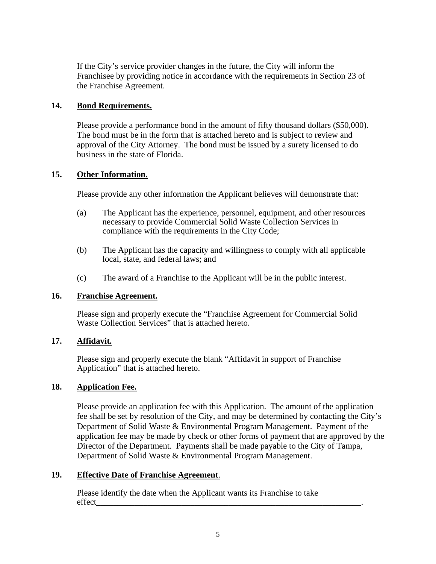If the City's service provider changes in the future, the City will inform the Franchisee by providing notice in accordance with the requirements in Section 23 of the Franchise Agreement.

### **14. Bond Requirements.**

Please provide a performance bond in the amount of fifty thousand dollars (\$50,000). The bond must be in the form that is attached hereto and is subject to review and approval of the City Attorney. The bond must be issued by a surety licensed to do business in the state of Florida.

### **15. Other Information.**

Please provide any other information the Applicant believes will demonstrate that:

- (a) The Applicant has the experience, personnel, equipment, and other resources necessary to provide Commercial Solid Waste Collection Services in compliance with the requirements in the City Code;
- (b) The Applicant has the capacity and willingness to comply with all applicable local, state, and federal laws; and
- (c) The award of a Franchise to the Applicant will be in the public interest.

### **16. Franchise Agreement.**

Please sign and properly execute the "Franchise Agreement for Commercial Solid Waste Collection Services" that is attached hereto.

### **17. Affidavit.**

Please sign and properly execute the blank "Affidavit in support of Franchise Application" that is attached hereto.

### **18. Application Fee.**

Please provide an application fee with this Application. The amount of the application fee shall be set by resolution of the City, and may be determined by contacting the City's Department of Solid Waste & Environmental Program Management. Payment of the application fee may be made by check or other forms of payment that are approved by the Director of the Department. Payments shall be made payable to the City of Tampa, Department of Solid Waste & Environmental Program Management.

### **19. Effective Date of Franchise Agreement**.

 Please identify the date when the Applicant wants its Franchise to take effect\_\_\_\_\_\_\_\_\_\_\_\_\_\_\_\_\_\_\_\_\_\_\_\_\_\_\_\_\_\_\_\_\_\_\_\_\_\_\_\_\_\_\_\_\_\_\_\_\_\_\_\_\_\_\_\_\_\_\_\_\_\_.